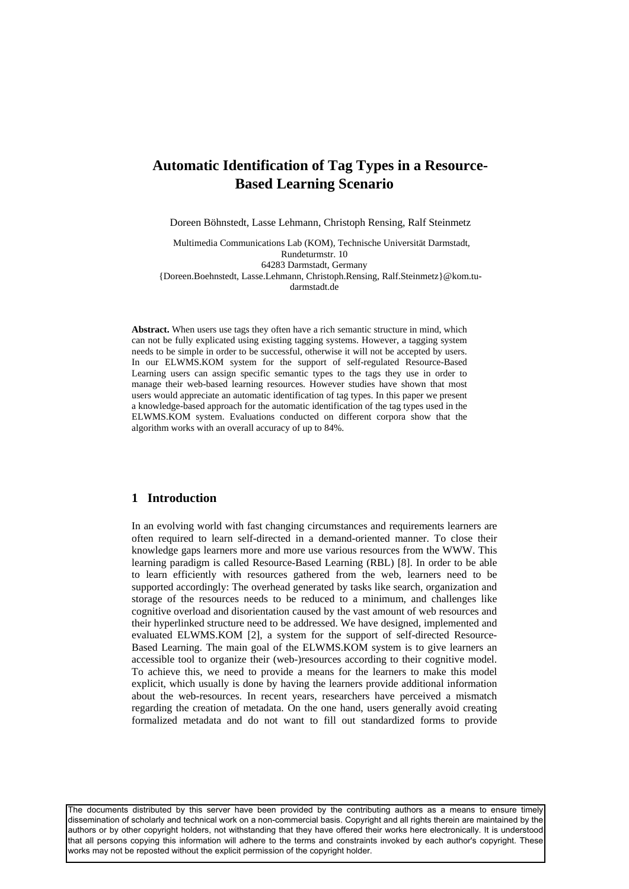# **Automatic Identification of Tag Types in a Resource-Based Learning Scenario**

Doreen Böhnstedt, Lasse Lehmann, Christoph Rensing, Ralf Steinmetz

 Multimedia Communications Lab (KOM), Technische Universität Darmstadt, Rundeturmstr. 10 64283 Darmstadt, Germany {Doreen.Boehnstedt, Lasse.Lehmann, Christoph.Rensing, Ralf.Steinmetz}@kom.tudarmstadt.de

**Abstract.** When users use tags they often have a rich semantic structure in mind, which can not be fully explicated using existing tagging systems. However, a tagging system needs to be simple in order to be successful, otherwise it will not be accepted by users. In our ELWMS.KOM system for the support of self-regulated Resource-Based Learning users can assign specific semantic types to the tags they use in order to manage their web-based learning resources. However studies have shown that most users would appreciate an automatic identification of tag types. In this paper we present a knowledge-based approach for the automatic identification of the tag types used in the ELWMS.KOM system. Evaluations conducted on different corpora show that the algorithm works with an overall accuracy of up to 84%.

# **1 Introduction**

In an evolving world with fast changing circumstances and requirements learners are often required to learn self-directed in a demand-oriented manner. To close their knowledge gaps learners more and more use various resources from the WWW. This learning paradigm is called Resource-Based Learning (RBL) [8]. In order to be able to learn efficiently with resources gathered from the web, learners need to be supported accordingly: The overhead generated by tasks like search, organization and storage of the resources needs to be reduced to a minimum, and challenges like cognitive overload and disorientation caused by the vast amount of web resources and their hyperlinked structure need to be addressed. We have designed, implemented and evaluated ELWMS.KOM [2], a system for the support of self-directed Resource-Based Learning. The main goal of the ELWMS.KOM system is to give learners an accessible tool to organize their (web-)resources according to their cognitive model. To achieve this, we need to provide a means for the learners to make this model explicit, which usually is done by having the learners provide additional information about the web-resources. In recent years, researchers have perceived a mismatch regarding the creation of metadata. On the one hand, users generally avoid creating formalized metadata and do not want to fill out standardized forms to provide

The documents distributed by this server have been provided by the contributing authors as a means to ensure timely dissemination of scholarly and technical work on a non-commercial basis. Copyright and all rights therein are maintained by the authors or by other copyright holders, not withstanding that they have offered their works here electronically. It is understood that all persons copying this information will adhere to the terms and constraints invoked by each author's copyright. These works may not be reposted without the explicit permission of the copyright holder.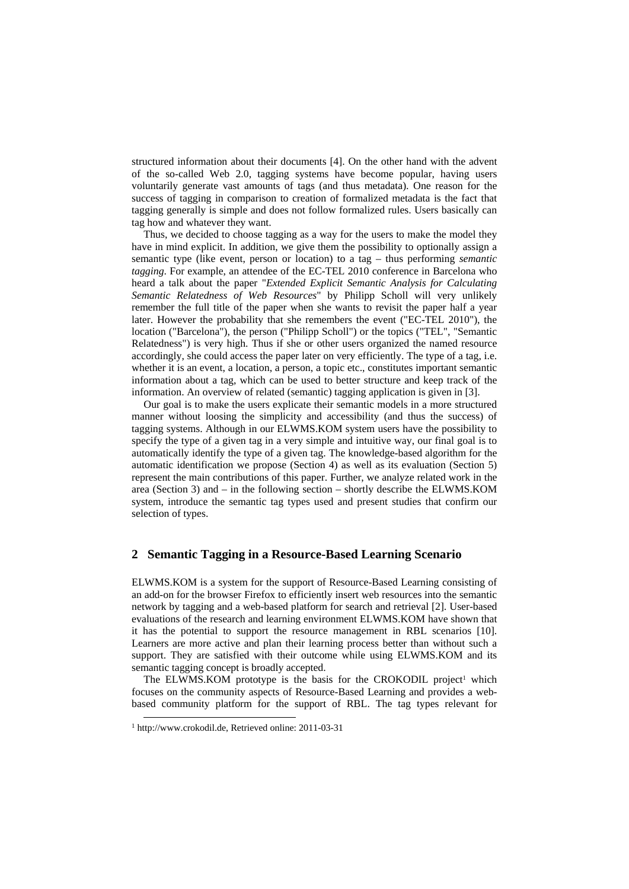structured information about their documents [4]. On the other hand with the advent of the so-called Web 2.0, tagging systems have become popular, having users voluntarily generate vast amounts of tags (and thus metadata). One reason for the success of tagging in comparison to creation of formalized metadata is the fact that tagging generally is simple and does not follow formalized rules. Users basically can tag how and whatever they want.

Thus, we decided to choose tagging as a way for the users to make the model they have in mind explicit. In addition, we give them the possibility to optionally assign a semantic type (like event, person or location) to a tag – thus performing *semantic tagging*. For example, an attendee of the EC-TEL 2010 conference in Barcelona who heard a talk about the paper "*Extended Explicit Semantic Analysis for Calculating Semantic Relatedness of Web Resources*" by Philipp Scholl will very unlikely remember the full title of the paper when she wants to revisit the paper half a year later. However the probability that she remembers the event ("EC-TEL 2010"), the location ("Barcelona"), the person ("Philipp Scholl") or the topics ("TEL", "Semantic Relatedness") is very high. Thus if she or other users organized the named resource accordingly, she could access the paper later on very efficiently. The type of a tag, i.e. whether it is an event, a location, a person, a topic etc., constitutes important semantic information about a tag, which can be used to better structure and keep track of the information. An overview of related (semantic) tagging application is given in [3].

Our goal is to make the users explicate their semantic models in a more structured manner without loosing the simplicity and accessibility (and thus the success) of tagging systems. Although in our ELWMS.KOM system users have the possibility to specify the type of a given tag in a very simple and intuitive way, our final goal is to automatically identify the type of a given tag. The knowledge-based algorithm for the automatic identification we propose (Section 4) as well as its evaluation (Section 5) represent the main contributions of this paper. Further, we analyze related work in the area (Section 3) and – in the following section – shortly describe the ELWMS.KOM system, introduce the semantic tag types used and present studies that confirm our selection of types.

# **2 Semantic Tagging in a Resource-Based Learning Scenario**

ELWMS.KOM is a system for the support of Resource-Based Learning consisting of an add-on for the browser Firefox to efficiently insert web resources into the semantic network by tagging and a web-based platform for search and retrieval [2]. User-based evaluations of the research and learning environment ELWMS.KOM have shown that it has the potential to support the resource management in RBL scenarios [10]. Learners are more active and plan their learning process better than without such a support. They are satisfied with their outcome while using ELWMS.KOM and its semantic tagging concept is broadly accepted.

The ELWMS.KOM prototype is the basis for the CROKODIL project<sup>1</sup> which focuses on the community aspects of Resource-Based Learning and provides a webbased community platform for the support of RBL. The tag types relevant for

 <sup>1</sup> http://www.crokodil.de, Retrieved online: 2011-03-31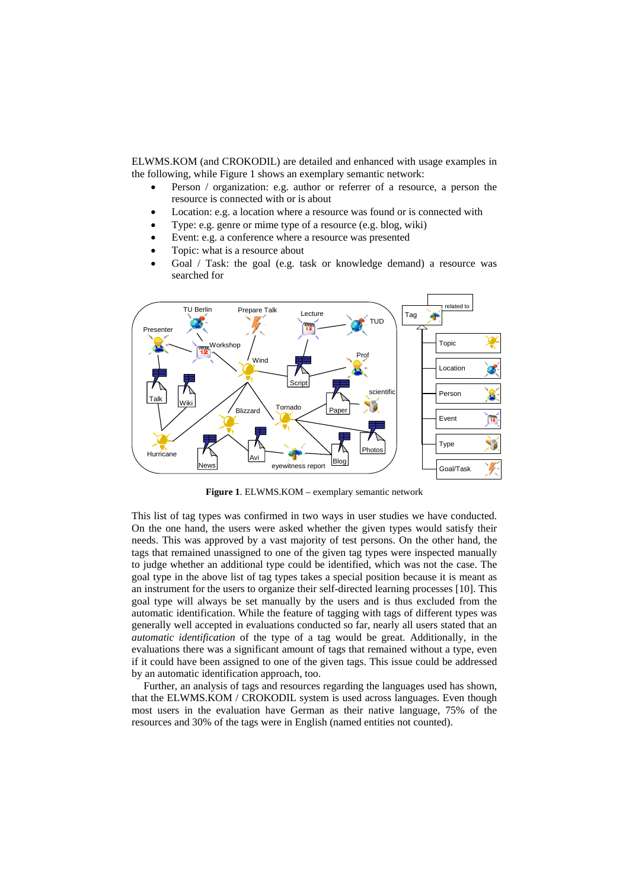ELWMS.KOM (and CROKODIL) are detailed and enhanced with usage examples in the following, while Figure 1 shows an exemplary semantic network:

- Person / organization: e.g. author or referrer of a resource, a person the resource is connected with or is about
- Location: e.g. a location where a resource was found or is connected with
- Type: e.g. genre or mime type of a resource (e.g. blog, wiki)
- Event: e.g. a conference where a resource was presented
- Topic: what is a resource about
- Goal / Task: the goal (e.g. task or knowledge demand) a resource was searched for



**Figure 1**. ELWMS.KOM – exemplary semantic network

This list of tag types was confirmed in two ways in user studies we have conducted. On the one hand, the users were asked whether the given types would satisfy their needs. This was approved by a vast majority of test persons. On the other hand, the tags that remained unassigned to one of the given tag types were inspected manually to judge whether an additional type could be identified, which was not the case. The goal type in the above list of tag types takes a special position because it is meant as an instrument for the users to organize their self-directed learning processes [10]. This goal type will always be set manually by the users and is thus excluded from the automatic identification. While the feature of tagging with tags of different types was generally well accepted in evaluations conducted so far, nearly all users stated that an *automatic identification* of the type of a tag would be great. Additionally, in the evaluations there was a significant amount of tags that remained without a type, even if it could have been assigned to one of the given tags. This issue could be addressed by an automatic identification approach, too.

Further, an analysis of tags and resources regarding the languages used has shown, that the ELWMS.KOM / CROKODIL system is used across languages. Even though most users in the evaluation have German as their native language, 75% of the resources and 30% of the tags were in English (named entities not counted).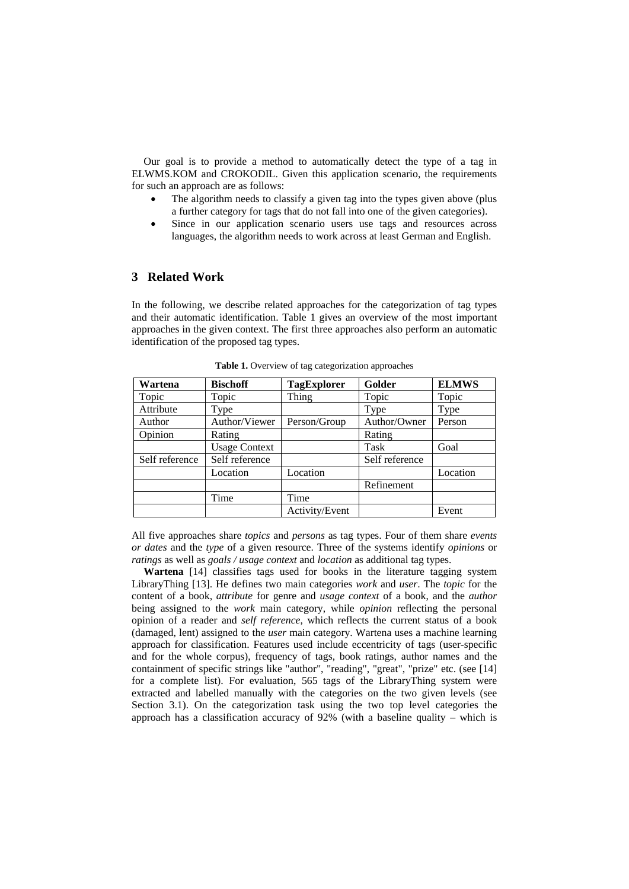Our goal is to provide a method to automatically detect the type of a tag in ELWMS.KOM and CROKODIL. Given this application scenario, the requirements for such an approach are as follows:

- The algorithm needs to classify a given tag into the types given above (plus a further category for tags that do not fall into one of the given categories).
- Since in our application scenario users use tags and resources across languages, the algorithm needs to work across at least German and English.

# **3 Related Work**

In the following, we describe related approaches for the categorization of tag types and their automatic identification. Table 1 gives an overview of the most important approaches in the given context. The first three approaches also perform an automatic identification of the proposed tag types.

| Wartena        | <b>Bischoff</b>      | <b>TagExplorer</b> | Golder         | <b>ELMWS</b> |
|----------------|----------------------|--------------------|----------------|--------------|
| Topic          | Topic                | Thing              | Topic          | Topic        |
| Attribute      | Type                 |                    | Type           | Type         |
| Author         | Author/Viewer        | Person/Group       | Author/Owner   | Person       |
| Opinion        | Rating               |                    | Rating         |              |
|                | <b>Usage Context</b> |                    | Task           | Goal         |
| Self reference | Self reference       |                    | Self reference |              |
|                | Location             | Location           |                | Location     |
|                |                      |                    | Refinement     |              |
|                | Time                 | Time               |                |              |
|                |                      | Activity/Event     |                | Event        |

**Table 1.** Overview of tag categorization approaches

All five approaches share *topics* and *persons* as tag types. Four of them share *events or dates* and the *type* of a given resource. Three of the systems identify *opinions* or *ratings* as well as *goals / usage context* and *location* as additional tag types.

**Wartena** [14] classifies tags used for books in the literature tagging system LibraryThing [13]. He defines two main categories *work* and *user*. The *topic* for the content of a book, *attribute* for genre and *usage context* of a book, and the *author* being assigned to the *work* main category, while *opinion* reflecting the personal opinion of a reader and *self reference*, which reflects the current status of a book (damaged, lent) assigned to the *user* main category. Wartena uses a machine learning approach for classification. Features used include eccentricity of tags (user-specific and for the whole corpus), frequency of tags, book ratings, author names and the containment of specific strings like "author", "reading", "great", "prize" etc. (see [14] for a complete list). For evaluation, 565 tags of the LibraryThing system were extracted and labelled manually with the categories on the two given levels (see Section 3.1). On the categorization task using the two top level categories the approach has a classification accuracy of 92% (with a baseline quality – which is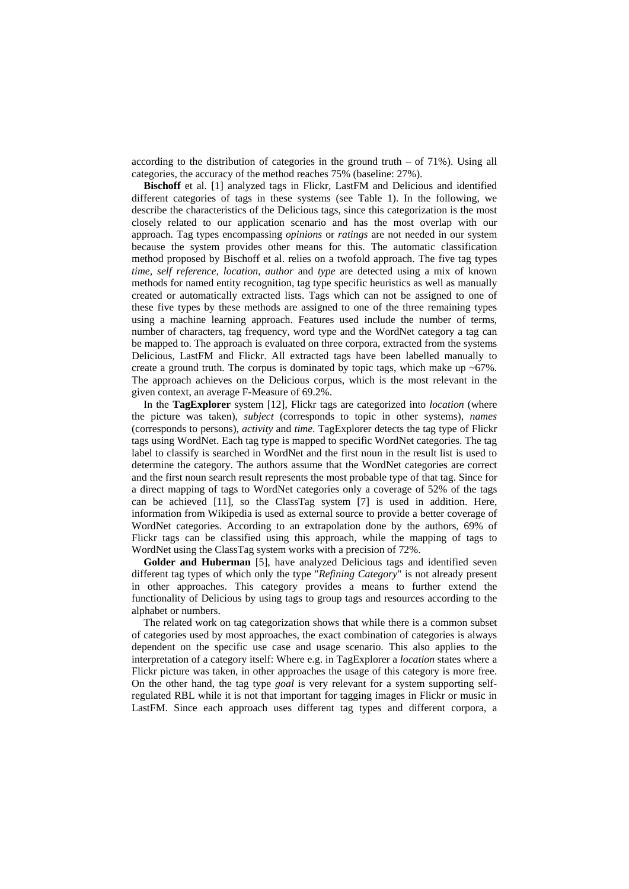according to the distribution of categories in the ground truth  $-$  of 71%). Using all categories, the accuracy of the method reaches 75% (baseline: 27%).

**Bischoff** et al. [1] analyzed tags in Flickr, LastFM and Delicious and identified different categories of tags in these systems (see Table 1). In the following, we describe the characteristics of the Delicious tags, since this categorization is the most closely related to our application scenario and has the most overlap with our approach. Tag types encompassing *opinions* or *ratings* are not needed in our system because the system provides other means for this. The automatic classification method proposed by Bischoff et al. relies on a twofold approach. The five tag types *time*, *self reference*, *location*, *author* and *type* are detected using a mix of known methods for named entity recognition, tag type specific heuristics as well as manually created or automatically extracted lists. Tags which can not be assigned to one of these five types by these methods are assigned to one of the three remaining types using a machine learning approach. Features used include the number of terms, number of characters, tag frequency, word type and the WordNet category a tag can be mapped to. The approach is evaluated on three corpora, extracted from the systems Delicious, LastFM and Flickr. All extracted tags have been labelled manually to create a ground truth. The corpus is dominated by topic tags, which make up  $\sim 67\%$ . The approach achieves on the Delicious corpus, which is the most relevant in the given context, an average F-Measure of 69.2%.

In the **TagExplorer** system [12], Flickr tags are categorized into *location* (where the picture was taken), *subject* (corresponds to topic in other systems), *names* (corresponds to persons), *activity* and *time*. TagExplorer detects the tag type of Flickr tags using WordNet. Each tag type is mapped to specific WordNet categories. The tag label to classify is searched in WordNet and the first noun in the result list is used to determine the category. The authors assume that the WordNet categories are correct and the first noun search result represents the most probable type of that tag. Since for a direct mapping of tags to WordNet categories only a coverage of 52% of the tags can be achieved [11], so the ClassTag system [7] is used in addition. Here, information from Wikipedia is used as external source to provide a better coverage of WordNet categories. According to an extrapolation done by the authors, 69% of Flickr tags can be classified using this approach, while the mapping of tags to WordNet using the ClassTag system works with a precision of 72%.

**Golder and Huberman** [5], have analyzed Delicious tags and identified seven different tag types of which only the type "*Refining Category*" is not already present in other approaches. This category provides a means to further extend the functionality of Delicious by using tags to group tags and resources according to the alphabet or numbers.

The related work on tag categorization shows that while there is a common subset of categories used by most approaches, the exact combination of categories is always dependent on the specific use case and usage scenario. This also applies to the interpretation of a category itself: Where e.g. in TagExplorer a *location* states where a Flickr picture was taken, in other approaches the usage of this category is more free. On the other hand, the tag type *goal* is very relevant for a system supporting selfregulated RBL while it is not that important for tagging images in Flickr or music in LastFM. Since each approach uses different tag types and different corpora, a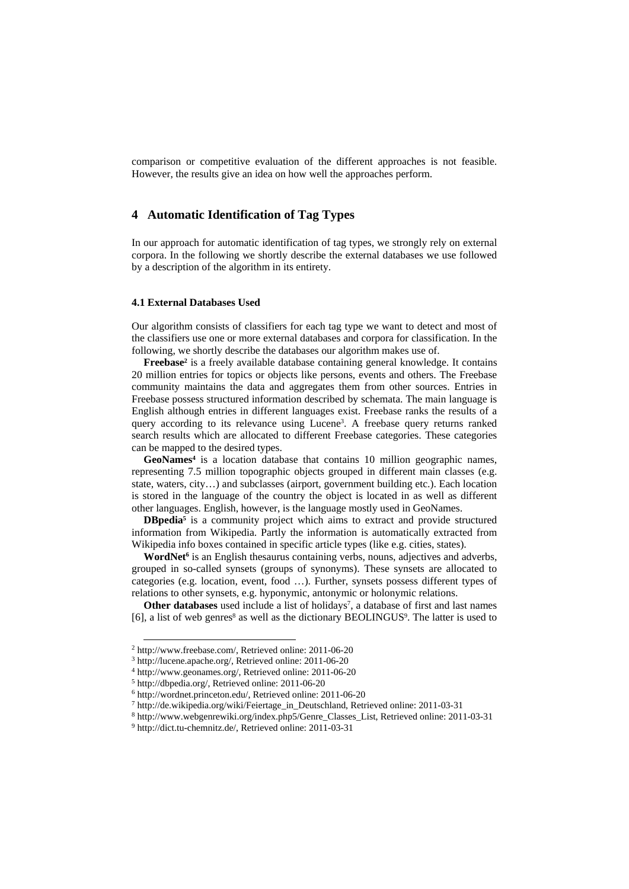comparison or competitive evaluation of the different approaches is not feasible. However, the results give an idea on how well the approaches perform.

# **4 Automatic Identification of Tag Types**

In our approach for automatic identification of tag types, we strongly rely on external corpora. In the following we shortly describe the external databases we use followed by a description of the algorithm in its entirety.

### **4.1 External Databases Used**

Our algorithm consists of classifiers for each tag type we want to detect and most of the classifiers use one or more external databases and corpora for classification. In the following, we shortly describe the databases our algorithm makes use of.

**Freebase2** is a freely available database containing general knowledge. It contains 20 million entries for topics or objects like persons, events and others. The Freebase community maintains the data and aggregates them from other sources. Entries in Freebase possess structured information described by schemata. The main language is English although entries in different languages exist. Freebase ranks the results of a query according to its relevance using Lucene3. A freebase query returns ranked search results which are allocated to different Freebase categories. These categories can be mapped to the desired types.

GeoNames<sup>4</sup> is a location database that contains 10 million geographic names, representing 7.5 million topographic objects grouped in different main classes (e.g. state, waters, city…) and subclasses (airport, government building etc.). Each location is stored in the language of the country the object is located in as well as different other languages. English, however, is the language mostly used in GeoNames.

**DBpedia5** is a community project which aims to extract and provide structured information from Wikipedia. Partly the information is automatically extracted from Wikipedia info boxes contained in specific article types (like e.g. cities, states).

**WordNet<sup>6</sup>** is an English thesaurus containing verbs, nouns, adjectives and adverbs, grouped in so-called synsets (groups of synonyms). These synsets are allocated to categories (e.g. location, event, food …). Further, synsets possess different types of relations to other synsets, e.g. hyponymic, antonymic or holonymic relations.

Other databases used include a list of holidays<sup>7</sup>, a database of first and last names  $[6]$ , a list of web genres<sup>8</sup> as well as the dictionary BEOLINGUS<sup>9</sup>. The latter is used to

 <sup>2</sup> http://www.freebase.com/, Retrieved online: 2011-06-20 3 http://lucene.apache.org/, Retrieved online: 2011-06-20

<sup>4</sup> http://www.geonames.org/, Retrieved online: 2011-06-20 5

http://dbpedia.org/, Retrieved online: 2011-06-20

<sup>6</sup> http://wordnet.princeton.edu/, Retrieved online: 2011-06-20

 $^7$  http://de.wikipedia.org/wiki/Feiertage\_in\_Deutschland, Retrieved online: 2011-03-31<br>  $^8$  http://www.webgenrewiki.org/index.php5/Genre\_Classes\_List, Retrieved online: 2011-03-31<br>  $^9$  http://dict.tu-chemnitz.de/, Ret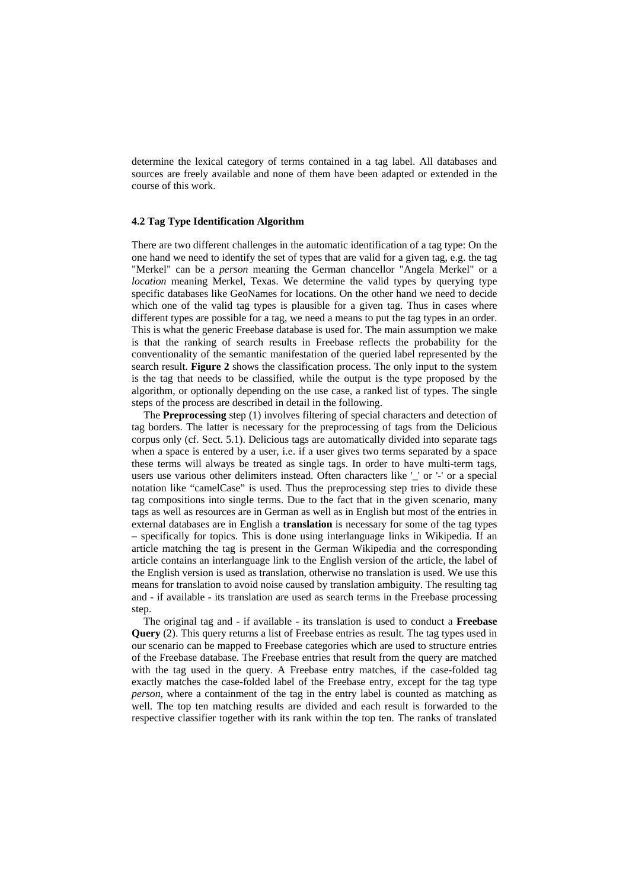determine the lexical category of terms contained in a tag label. All databases and sources are freely available and none of them have been adapted or extended in the course of this work.

#### **4.2 Tag Type Identification Algorithm**

There are two different challenges in the automatic identification of a tag type: On the one hand we need to identify the set of types that are valid for a given tag, e.g. the tag "Merkel" can be a *person* meaning the German chancellor "Angela Merkel" or a *location* meaning Merkel, Texas. We determine the valid types by querying type specific databases like GeoNames for locations. On the other hand we need to decide which one of the valid tag types is plausible for a given tag. Thus in cases where different types are possible for a tag, we need a means to put the tag types in an order. This is what the generic Freebase database is used for. The main assumption we make is that the ranking of search results in Freebase reflects the probability for the conventionality of the semantic manifestation of the queried label represented by the search result. **Figure 2** shows the classification process. The only input to the system is the tag that needs to be classified, while the output is the type proposed by the algorithm, or optionally depending on the use case, a ranked list of types. The single steps of the process are described in detail in the following.

The **Preprocessing** step (1) involves filtering of special characters and detection of tag borders. The latter is necessary for the preprocessing of tags from the Delicious corpus only (cf. Sect. 5.1). Delicious tags are automatically divided into separate tags when a space is entered by a user, i.e. if a user gives two terms separated by a space these terms will always be treated as single tags. In order to have multi-term tags, users use various other delimiters instead. Often characters like ' ' or '-' or a special notation like "camelCase" is used. Thus the preprocessing step tries to divide these tag compositions into single terms. Due to the fact that in the given scenario, many tags as well as resources are in German as well as in English but most of the entries in external databases are in English a **translation** is necessary for some of the tag types – specifically for topics. This is done using interlanguage links in Wikipedia. If an article matching the tag is present in the German Wikipedia and the corresponding article contains an interlanguage link to the English version of the article, the label of the English version is used as translation, otherwise no translation is used. We use this means for translation to avoid noise caused by translation ambiguity. The resulting tag and - if available - its translation are used as search terms in the Freebase processing step.

The original tag and - if available - its translation is used to conduct a **Freebase Query** (2). This query returns a list of Freebase entries as result. The tag types used in our scenario can be mapped to Freebase categories which are used to structure entries of the Freebase database. The Freebase entries that result from the query are matched with the tag used in the query. A Freebase entry matches, if the case-folded tag exactly matches the case-folded label of the Freebase entry, except for the tag type *person*, where a containment of the tag in the entry label is counted as matching as well. The top ten matching results are divided and each result is forwarded to the respective classifier together with its rank within the top ten. The ranks of translated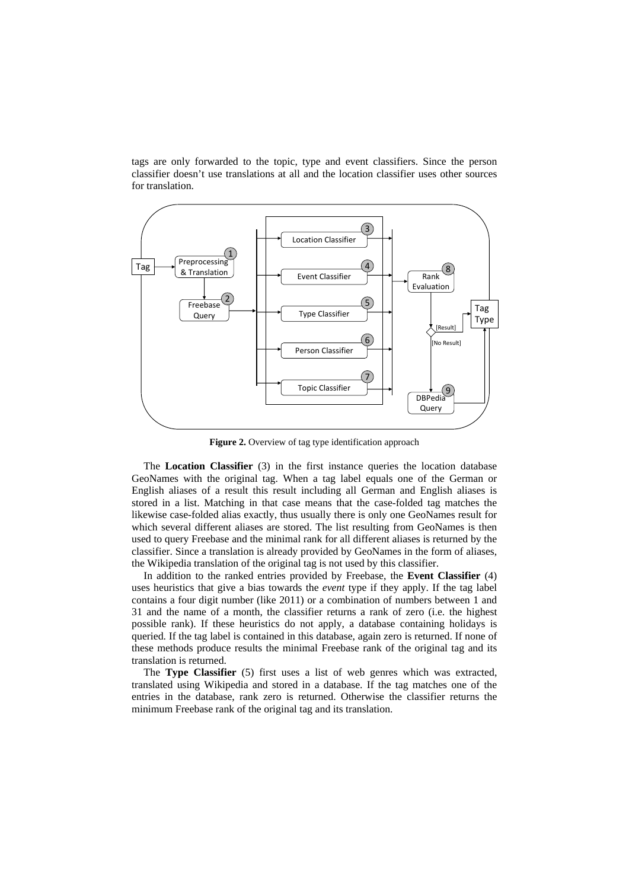tags are only forwarded to the topic, type and event classifiers. Since the person classifier doesn't use translations at all and the location classifier uses other sources for translation.



**Figure 2.** Overview of tag type identification approach

The **Location Classifier** (3) in the first instance queries the location database GeoNames with the original tag. When a tag label equals one of the German or English aliases of a result this result including all German and English aliases is stored in a list. Matching in that case means that the case-folded tag matches the likewise case-folded alias exactly, thus usually there is only one GeoNames result for which several different aliases are stored. The list resulting from GeoNames is then used to query Freebase and the minimal rank for all different aliases is returned by the classifier. Since a translation is already provided by GeoNames in the form of aliases, the Wikipedia translation of the original tag is not used by this classifier.

In addition to the ranked entries provided by Freebase, the **Event Classifier** (4) uses heuristics that give a bias towards the *event* type if they apply. If the tag label contains a four digit number (like 2011) or a combination of numbers between 1 and 31 and the name of a month, the classifier returns a rank of zero (i.e. the highest possible rank). If these heuristics do not apply, a database containing holidays is queried. If the tag label is contained in this database, again zero is returned. If none of these methods produce results the minimal Freebase rank of the original tag and its translation is returned.

The **Type Classifier** (5) first uses a list of web genres which was extracted, translated using Wikipedia and stored in a database. If the tag matches one of the entries in the database, rank zero is returned. Otherwise the classifier returns the minimum Freebase rank of the original tag and its translation.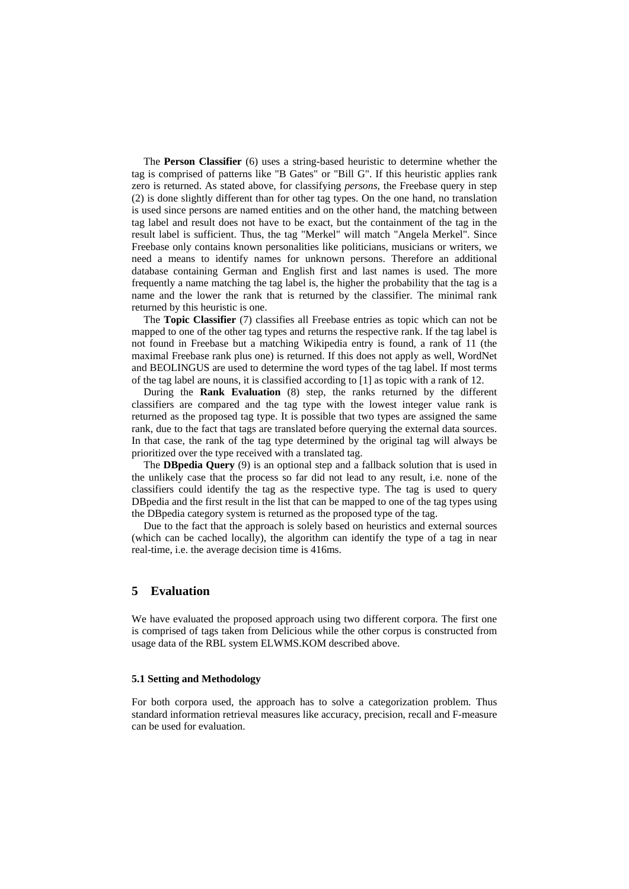The **Person Classifier** (6) uses a string-based heuristic to determine whether the tag is comprised of patterns like "B Gates" or "Bill G". If this heuristic applies rank zero is returned. As stated above, for classifying *persons*, the Freebase query in step (2) is done slightly different than for other tag types. On the one hand, no translation is used since persons are named entities and on the other hand, the matching between tag label and result does not have to be exact, but the containment of the tag in the result label is sufficient. Thus, the tag "Merkel" will match "Angela Merkel". Since Freebase only contains known personalities like politicians, musicians or writers, we need a means to identify names for unknown persons. Therefore an additional database containing German and English first and last names is used. The more frequently a name matching the tag label is, the higher the probability that the tag is a name and the lower the rank that is returned by the classifier. The minimal rank returned by this heuristic is one.

The **Topic Classifier** (7) classifies all Freebase entries as topic which can not be mapped to one of the other tag types and returns the respective rank. If the tag label is not found in Freebase but a matching Wikipedia entry is found, a rank of 11 (the maximal Freebase rank plus one) is returned. If this does not apply as well, WordNet and BEOLINGUS are used to determine the word types of the tag label. If most terms of the tag label are nouns, it is classified according to [1] as topic with a rank of 12.

During the **Rank Evaluation** (8) step, the ranks returned by the different classifiers are compared and the tag type with the lowest integer value rank is returned as the proposed tag type. It is possible that two types are assigned the same rank, due to the fact that tags are translated before querying the external data sources. In that case, the rank of the tag type determined by the original tag will always be prioritized over the type received with a translated tag.

The **DBpedia Query** (9) is an optional step and a fallback solution that is used in the unlikely case that the process so far did not lead to any result, i.e. none of the classifiers could identify the tag as the respective type. The tag is used to query DBpedia and the first result in the list that can be mapped to one of the tag types using the DBpedia category system is returned as the proposed type of the tag.

Due to the fact that the approach is solely based on heuristics and external sources (which can be cached locally), the algorithm can identify the type of a tag in near real-time, i.e. the average decision time is 416ms.

# **5 Evaluation**

We have evaluated the proposed approach using two different corpora. The first one is comprised of tags taken from Delicious while the other corpus is constructed from usage data of the RBL system ELWMS.KOM described above.

#### **5.1 Setting and Methodology**

For both corpora used, the approach has to solve a categorization problem. Thus standard information retrieval measures like accuracy, precision, recall and F-measure can be used for evaluation.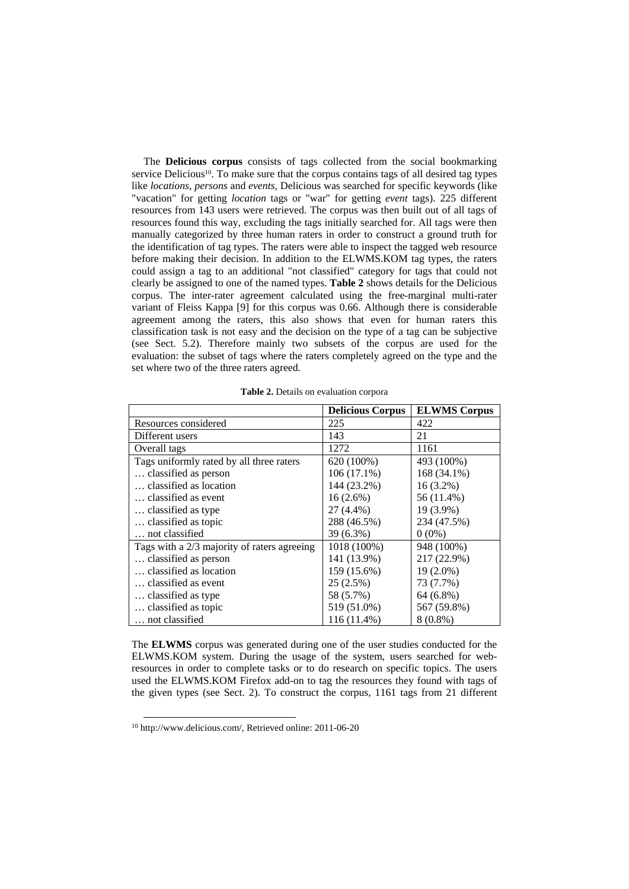The **Delicious corpus** consists of tags collected from the social bookmarking service Delicious<sup>10</sup>. To make sure that the corpus contains tags of all desired tag types like *locations*, *persons* and *events*, Delicious was searched for specific keywords (like "vacation" for getting *location* tags or "war" for getting *event* tags). 225 different resources from 143 users were retrieved. The corpus was then built out of all tags of resources found this way, excluding the tags initially searched for. All tags were then manually categorized by three human raters in order to construct a ground truth for the identification of tag types. The raters were able to inspect the tagged web resource before making their decision. In addition to the ELWMS.KOM tag types, the raters could assign a tag to an additional "not classified" category for tags that could not clearly be assigned to one of the named types. **Table 2** shows details for the Delicious corpus. The inter-rater agreement calculated using the free-marginal multi-rater variant of Fleiss Kappa [9] for this corpus was 0.66. Although there is considerable agreement among the raters, this also shows that even for human raters this classification task is not easy and the decision on the type of a tag can be subjective (see Sect. 5.2). Therefore mainly two subsets of the corpus are used for the evaluation: the subset of tags where the raters completely agreed on the type and the set where two of the three raters agreed.

|                                             | <b>Delicious Corpus</b> | <b>ELWMS</b> Corpus |
|---------------------------------------------|-------------------------|---------------------|
| Resources considered                        | 225                     | 422                 |
| Different users                             | 143                     | 21                  |
| Overall tags                                | 1272                    | 1161                |
| Tags uniformly rated by all three raters    | 620 (100%)              | 493 (100%)          |
| classified as person                        | 106 (17.1%)             | 168 (34.1%)         |
| classified as location                      | 144 (23.2%)             | $16(3.2\%)$         |
| classified as event                         | $16(2.6\%)$             | 56 (11.4%)          |
| classified as type                          | 27 (4.4%)               | 19 (3.9%)           |
| classified as topic                         | 288 (46.5%)             | 234 (47.5%)         |
| not classified                              | 39 (6.3%)               | $0(0\%)$            |
| Tags with a 2/3 majority of raters agreeing | 1018 (100%)             | 948 (100%)          |
| classified as person                        | 141 (13.9%)             | 217 (22.9%)         |
| classified as location                      | 159 (15.6%)             | $19(2.0\%)$         |
| classified as event                         | 25 (2.5%)               | 73 (7.7%)           |
| classified as type                          | 58 (5.7%)               | 64 (6.8%)           |
| classified as topic                         | 519 (51.0%)             | 567 (59.8%)         |
| not classified                              | 116 (11.4%)             | $8(0.8\%)$          |

**Table 2.** Details on evaluation corpora

The **ELWMS** corpus was generated during one of the user studies conducted for the ELWMS.KOM system. During the usage of the system, users searched for webresources in order to complete tasks or to do research on specific topics. The users used the ELWMS.KOM Firefox add-on to tag the resources they found with tags of the given types (see Sect. 2). To construct the corpus, 1161 tags from 21 different

 <sup>10</sup> http://www.delicious.com/, Retrieved online: 2011-06-20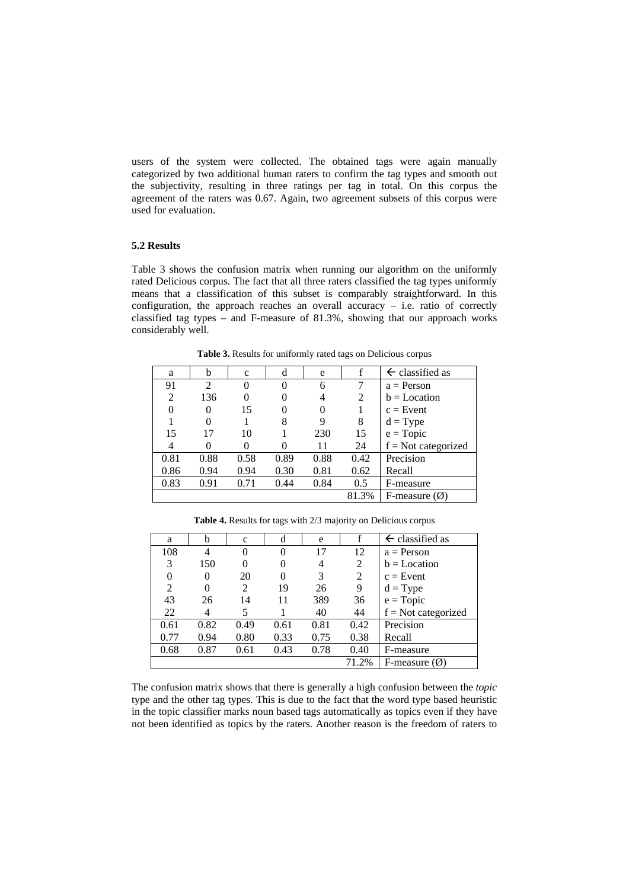users of the system were collected. The obtained tags were again manually categorized by two additional human raters to confirm the tag types and smooth out the subjectivity, resulting in three ratings per tag in total. On this corpus the agreement of the raters was 0.67. Again, two agreement subsets of this corpus were used for evaluation.

#### **5.2 Results**

Table 3 shows the confusion matrix when running our algorithm on the uniformly rated Delicious corpus. The fact that all three raters classified the tag types uniformly means that a classification of this subset is comparably straightforward. In this configuration, the approach reaches an overall accuracy  $-$  i.e. ratio of correctly classified tag types – and F-measure of 81.3%, showing that our approach works considerably well.

a b c d e f  $\leftarrow$  classified as 91 2 0 0 6 7  $a = Person$ 2 136 0 0 4 2  $b =$  Location 0 0 15 0 0 1  $c =$  Event 1 0 1 8 9 8  $d = Type$ 15 17 10 1 230 15 e = Topic 4 0 0 0 11 24  $f = Not$  categorized 0.81 0.88 0.58 0.89 0.88 0.42 Precision 0.86 0.94 0.94 0.30 0.81 0.62 Recall 0.83 0.91 0.71 0.44 0.84 0.5 F-measure 81.3% | F-measure  $(\emptyset)$ 

**Table 3.** Results for uniformly rated tags on Delicious corpus

**Table 4.** Results for tags with 2/3 majority on Delicious corpus

| a        | b        | c        | d        | e    |       | $\leftarrow$ classified as |
|----------|----------|----------|----------|------|-------|----------------------------|
| 108      | 4        | 0        | 0        | 17   | 12    | $a = Person$               |
| 3        | 150      | $\theta$ | 0        | 4    | 2     | $b =$ Location             |
| $\Omega$ | 0        | 20       | $\theta$ | 3    | 2     | $c =$ Event                |
| 2        | $\theta$ | 2        | 19       | 26   | 9     | $d = Type$                 |
| 43       | 26       | 14       | 11       | 389  | 36    | $e = \text{Topic}$         |
| 22       | 4        | 5        |          | 40   | 44    | $f = Not$ categorized      |
| 0.61     | 0.82     | 0.49     | 0.61     | 0.81 | 0.42  | Precision                  |
| 0.77     | 0.94     | 0.80     | 0.33     | 0.75 | 0.38  | Recall                     |
| 0.68     | 0.87     | 0.61     | 0.43     | 0.78 | 0.40  | F-measure                  |
|          |          |          |          |      | 71.2% | F-measure $(Q)$            |

The confusion matrix shows that there is generally a high confusion between the *topic* type and the other tag types. This is due to the fact that the word type based heuristic in the topic classifier marks noun based tags automatically as topics even if they have not been identified as topics by the raters. Another reason is the freedom of raters to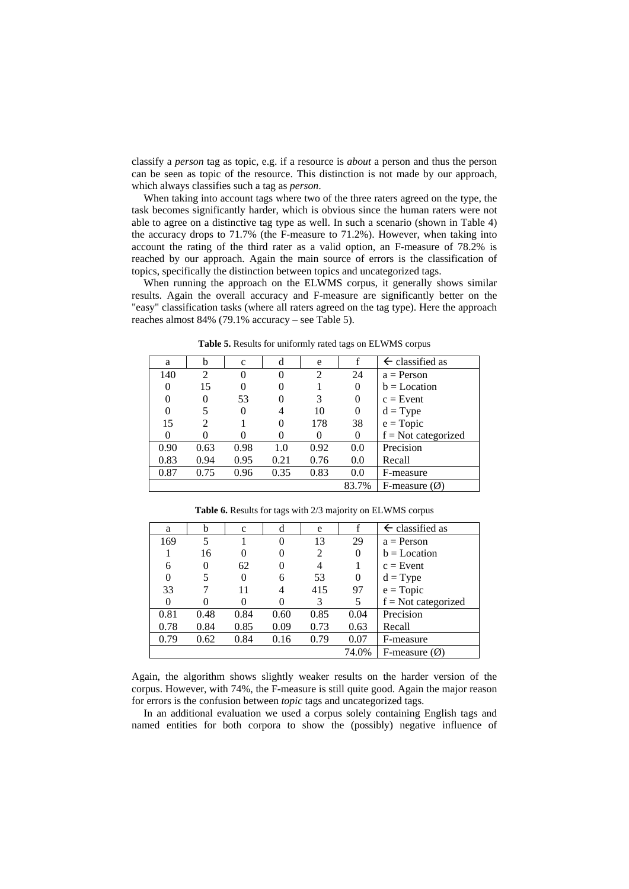classify a *person* tag as topic, e.g. if a resource is *about* a person and thus the person can be seen as topic of the resource. This distinction is not made by our approach, which always classifies such a tag as *person*.

When taking into account tags where two of the three raters agreed on the type, the task becomes significantly harder, which is obvious since the human raters were not able to agree on a distinctive tag type as well. In such a scenario (shown in Table 4) the accuracy drops to 71.7% (the F-measure to 71.2%). However, when taking into account the rating of the third rater as a valid option, an F-measure of 78.2% is reached by our approach. Again the main source of errors is the classification of topics, specifically the distinction between topics and uncategorized tags.

When running the approach on the ELWMS corpus, it generally shows similar results. Again the overall accuracy and F-measure are significantly better on the "easy" classification tasks (where all raters agreed on the tag type). Here the approach reaches almost 84% (79.1% accuracy – see Table 5).

| a    | h    | C    | d        | e             |          | $\leftarrow$ classified as |
|------|------|------|----------|---------------|----------|----------------------------|
| 140  | っ    |      | 0        | $\mathcal{D}$ | 24       | $a = Person$               |
| 0    | 15   |      | 0        |               | $\theta$ | $b =$ Location             |
| 0    |      | 53   | 0        | 3             | $\Omega$ | $c =$ Event                |
| 0    |      |      |          | 10            | 0        | $d = Type$                 |
| 15   | 2    |      | $\theta$ | 178           | 38       | $e = Topic$                |
| 0    |      |      |          | $\Omega$      | $\theta$ | $f = Not$ categorized      |
| 0.90 | 0.63 | 0.98 | 1.0      | 0.92          | 0.0      | Precision                  |
| 0.83 | 0.94 | 0.95 | 0.21     | 0.76          | 0.0      | Recall                     |
| 0.87 | 0.75 | 0.96 | 0.35     | 0.83          | 0.0      | F-measure                  |
|      |      |      |          |               | 83.7%    | F-measure $(Q)$            |

**Table 5.** Results for uniformly rated tags on ELWMS corpus

| a    | h    | c        | d    | e    | f        | $\leftarrow$ classified as |
|------|------|----------|------|------|----------|----------------------------|
| 169  | 5    |          | 0    | 13   | 29       | $a = Person$               |
|      | 16   | $\theta$ | 0    | 2    | 0        | $b =$ Location             |
| 6    | 0    | 62       | 0    | 4    |          | $c =$ Event                |
| 0    |      | 0        | 6    | 53   | $\Omega$ | $d = Type$                 |
| 33   |      | 11       | 4    | 415  | 97       | $e = Topic$                |
| 0    |      | $\Omega$ | 0    | 3    | 5        | $f = Not$ categorized      |
| 0.81 | 0.48 | 0.84     | 0.60 | 0.85 | 0.04     | Precision                  |
| 0.78 | 0.84 | 0.85     | 0.09 | 0.73 | 0.63     | Recall                     |
| 0.79 | 0.62 | 0.84     | 0.16 | 0.79 | 0.07     | F-measure                  |
|      |      |          |      |      | 74.0%    | F-measure $(Q)$            |

**Table 6.** Results for tags with 2/3 majority on ELWMS corpus

Again, the algorithm shows slightly weaker results on the harder version of the corpus. However, with 74%, the F-measure is still quite good. Again the major reason for errors is the confusion between *topic* tags and uncategorized tags.

In an additional evaluation we used a corpus solely containing English tags and named entities for both corpora to show the (possibly) negative influence of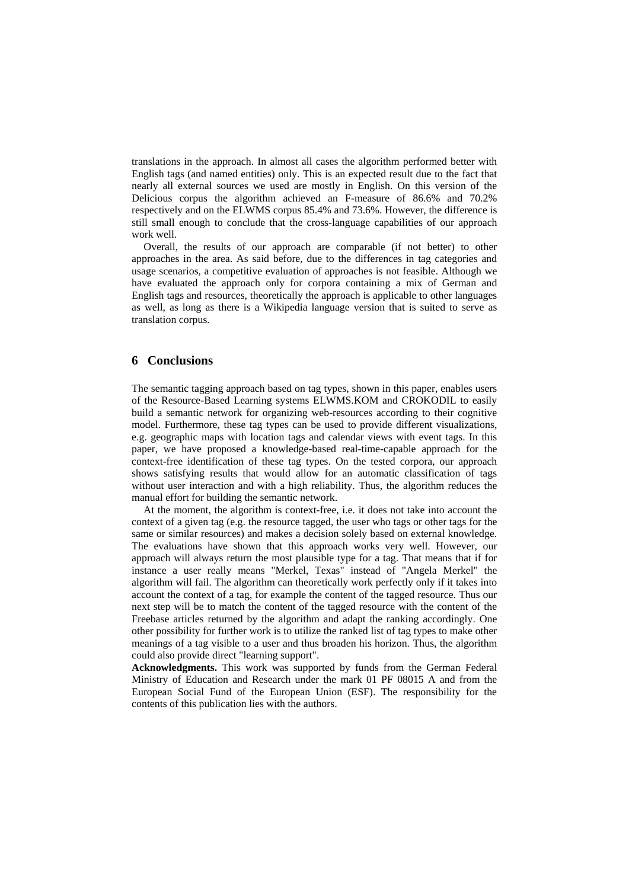translations in the approach. In almost all cases the algorithm performed better with English tags (and named entities) only. This is an expected result due to the fact that nearly all external sources we used are mostly in English. On this version of the Delicious corpus the algorithm achieved an F-measure of 86.6% and 70.2% respectively and on the ELWMS corpus 85.4% and 73.6%. However, the difference is still small enough to conclude that the cross-language capabilities of our approach work well.

Overall, the results of our approach are comparable (if not better) to other approaches in the area. As said before, due to the differences in tag categories and usage scenarios, a competitive evaluation of approaches is not feasible. Although we have evaluated the approach only for corpora containing a mix of German and English tags and resources, theoretically the approach is applicable to other languages as well, as long as there is a Wikipedia language version that is suited to serve as translation corpus.

### **6 Conclusions**

The semantic tagging approach based on tag types, shown in this paper, enables users of the Resource-Based Learning systems ELWMS.KOM and CROKODIL to easily build a semantic network for organizing web-resources according to their cognitive model. Furthermore, these tag types can be used to provide different visualizations, e.g. geographic maps with location tags and calendar views with event tags. In this paper, we have proposed a knowledge-based real-time-capable approach for the context-free identification of these tag types. On the tested corpora, our approach shows satisfying results that would allow for an automatic classification of tags without user interaction and with a high reliability. Thus, the algorithm reduces the manual effort for building the semantic network.

At the moment, the algorithm is context-free, i.e. it does not take into account the context of a given tag (e.g. the resource tagged, the user who tags or other tags for the same or similar resources) and makes a decision solely based on external knowledge. The evaluations have shown that this approach works very well. However, our approach will always return the most plausible type for a tag. That means that if for instance a user really means "Merkel, Texas" instead of "Angela Merkel" the algorithm will fail. The algorithm can theoretically work perfectly only if it takes into account the context of a tag, for example the content of the tagged resource. Thus our next step will be to match the content of the tagged resource with the content of the Freebase articles returned by the algorithm and adapt the ranking accordingly. One other possibility for further work is to utilize the ranked list of tag types to make other meanings of a tag visible to a user and thus broaden his horizon. Thus, the algorithm could also provide direct "learning support".

**Acknowledgments.** This work was supported by funds from the German Federal Ministry of Education and Research under the mark 01 PF 08015 A and from the European Social Fund of the European Union (ESF). The responsibility for the contents of this publication lies with the authors.